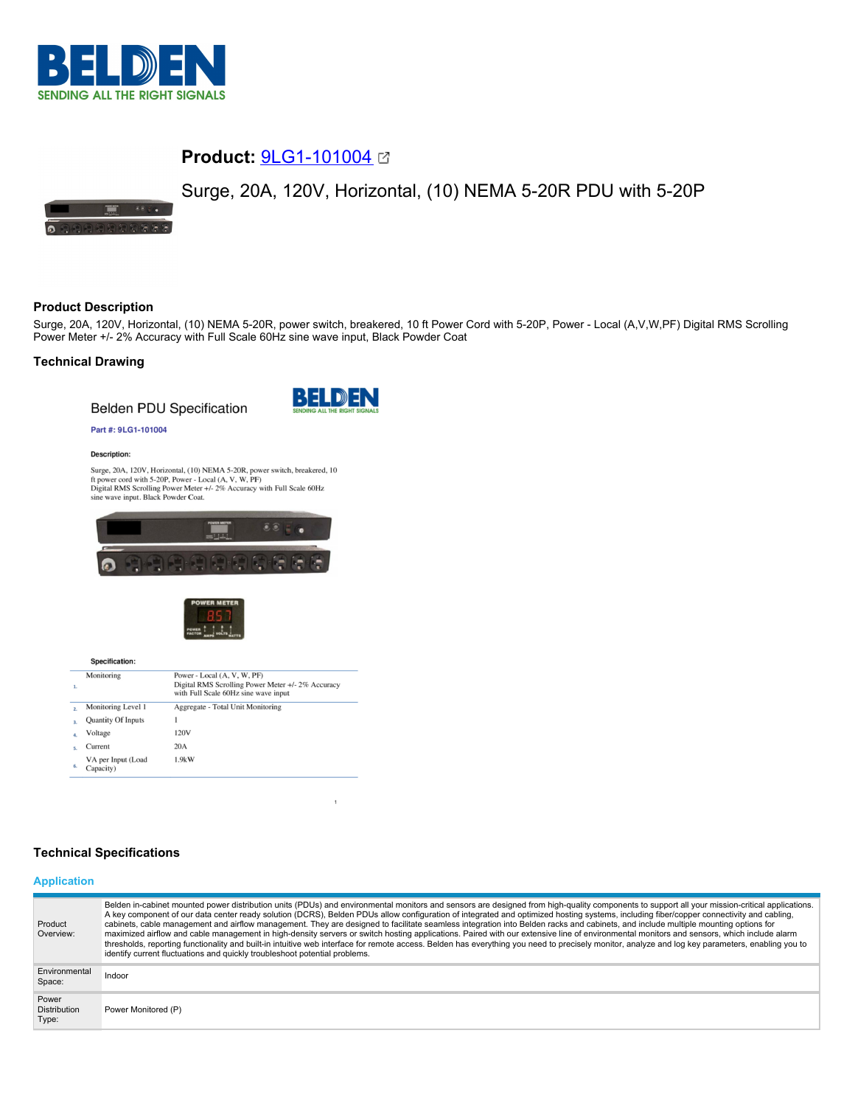

# **Product:** [9LG1-101004](https://catalog.belden.com/index.cfm?event=pd&p=PF_9LG1101004&tab=downloads)

# Surge, 20A, 120V, Horizontal, (10) NEMA 5-20R PDU with 5-20P



## **Product Description**

Surge, 20A, 120V, Horizontal, (10) NEMA 5-20R, power switch, breakered, 10 ft Power Cord with 5-20P, Power - Local (A,V,W,PF) Digital RMS Scrolling Power Meter +/- 2% Accuracy with Full Scale 60Hz sine wave input, Black Powder Coat

## **Technical Drawing**

**Belden PDU Specification** 



#### Part #: 9LG1-101004

**Description:** 

Surge, 20A, 120V, Horizontal, (10) NEMA 5-20R, power switch, breakered, 10 ft power cord with 5-20P, Power - Local (A, V, W, PF) Digital RMS Scrolling Power Meter +/- 2% Accuracy with Full Scale 60Hz sine wave input. Blac





| 1. | Monitoring                      | Power - Local (A, V, W, PF)<br>Digital RMS Scrolling Power Meter +/- 2% Accuracy<br>with Full Scale 60Hz sine wave input |
|----|---------------------------------|--------------------------------------------------------------------------------------------------------------------------|
|    | Monitoring Level 1              | Aggregate - Total Unit Monitoring                                                                                        |
|    | <b>Quantity Of Inputs</b>       |                                                                                                                          |
|    | Voltage                         | 120V                                                                                                                     |
|    | Current                         | 20A                                                                                                                      |
|    | VA per Input (Load<br>Capacity) | 1.9kW                                                                                                                    |

# **Technical Specifications**

## **Application**

| Product<br>Overview:                  | Belden in-cabinet mounted power distribution units (PDUs) and environmental monitors and sensors are designed from high-quality components to support all your mission-critical applications.<br>A key component of our data center ready solution (DCRS), Belden PDUs allow configuration of integrated and optimized hosting systems, including fiber/copper connectivity and cabling,<br>cabinets, cable management and airflow management. They are designed to facilitate seamless integration into Belden racks and cabinets, and include multiple mounting options for<br>maximized airflow and cable management in high-density servers or switch hosting applications. Paired with our extensive line of environmental monitors and sensors, which include alarm<br>thresholds, reporting functionality and built-in intuitive web interface for remote access. Belden has everything you need to precisely monitor, analyze and log key parameters, enabling you to<br>identify current fluctuations and quickly troubleshoot potential problems. |
|---------------------------------------|-------------------------------------------------------------------------------------------------------------------------------------------------------------------------------------------------------------------------------------------------------------------------------------------------------------------------------------------------------------------------------------------------------------------------------------------------------------------------------------------------------------------------------------------------------------------------------------------------------------------------------------------------------------------------------------------------------------------------------------------------------------------------------------------------------------------------------------------------------------------------------------------------------------------------------------------------------------------------------------------------------------------------------------------------------------|
| Environmental<br>Space:               | Indoor                                                                                                                                                                                                                                                                                                                                                                                                                                                                                                                                                                                                                                                                                                                                                                                                                                                                                                                                                                                                                                                      |
| Power<br><b>Distribution</b><br>Type: | Power Monitored (P)                                                                                                                                                                                                                                                                                                                                                                                                                                                                                                                                                                                                                                                                                                                                                                                                                                                                                                                                                                                                                                         |